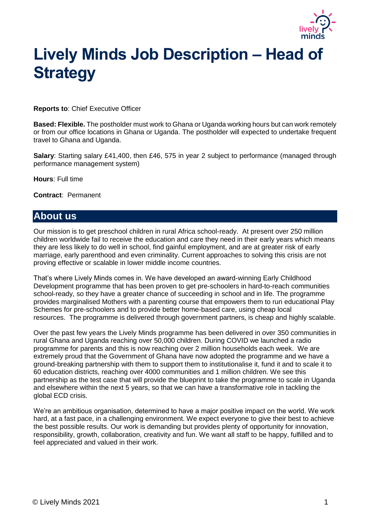

# **Lively Minds Job Description – Head of Strategy**

**Reports to**: Chief Executive Officer

**Based: Flexible.** The postholder must work to Ghana or Uganda working hours but can work remotely or from our office locations in Ghana or Uganda. The postholder will expected to undertake frequent travel to Ghana and Uganda.

**Salary**: Starting salary £41,400, then £46, 575 in year 2 subject to performance (managed through performance management system)

**Hours**: Full time

**Contract**: Permanent

### **About us**

Our mission is to get preschool children in rural Africa school-ready. At present over 250 million children worldwide fail to receive the education and care they need in their early years which means they are less likely to do well in school, find gainful employment, and are at greater risk of early marriage, early parenthood and even criminality. Current approaches to solving this crisis are not proving effective or scalable in lower middle income countries.

That's where Lively Minds comes in. We have developed an award-winning Early Childhood Development programme that has been proven to get pre-schoolers in hard-to-reach communities school-ready, so they have a greater chance of succeeding in school and in life. The programme provides marginalised Mothers with a parenting course that empowers them to run educational Play Schemes for pre-schoolers and to provide better home-based care, using cheap local resources. The programme is delivered through government partners, is cheap and highly scalable.

Over the past few years the Lively Minds programme has been delivered in over 350 communities in rural Ghana and Uganda reaching over 50,000 children. During COVID we launched a radio programme for parents and this is now reaching over 2 million households each week. We are extremely proud that the Government of Ghana have now adopted the programme and we have a ground-breaking partnership with them to support them to institutionalise it, fund it and to scale it to 60 education districts, reaching over 4000 communities and 1 million children. We see this partnership as the test case that will provide the blueprint to take the programme to scale in Uganda and elsewhere within the next 5 years, so that we can have a transformative role in tackling the global ECD crisis.

We're an ambitious organisation, determined to have a major positive impact on the world. We work hard, at a fast pace, in a challenging environment. We expect everyone to give their best to achieve the best possible results. Our work is demanding but provides plenty of opportunity for innovation, responsibility, growth, collaboration, creativity and fun. We want all staff to be happy, fulfilled and to feel appreciated and valued in their work.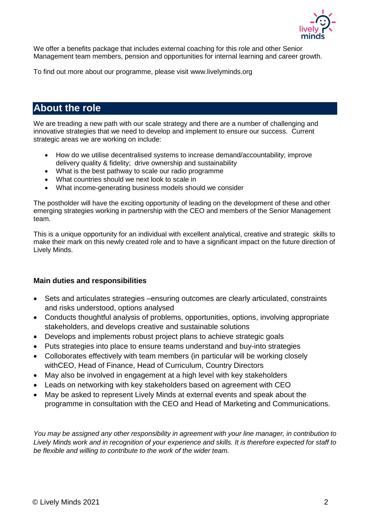

We offer a benefits package that includes external coaching for this role and other Senior Management team members, pension and opportunities for internal learning and career growth.

To find out more about our programme, please visit [www.livelyminds.org](http://www.livelminds.org/)

## **About the role**

We are treading a new path with our scale strategy and there are a number of challenging and innovative strategies that we need to develop and implement to ensure our success. Current strategic areas we are working on include:

- How do we utilise decentralised systems to increase demand/accountability; improve delivery quality & fidelity; drive ownership and sustainability
- What is the best pathway to scale our radio programme
- What countries should we next look to scale in
- What income-generating business models should we consider

The postholder will have the exciting opportunity of leading on the development of these and other emerging strategies working in partnership with the CEO and members of the Senior Management team.

This is a unique opportunity for an individual with excellent analytical, creative and strategic skills to make their mark on this newly created role and to have a significant impact on the future direction of Lively Minds.

#### **Main duties and responsibilities**

- Sets and articulates strategies –ensuring outcomes are clearly articulated, constraints and risks understood, options analysed
- Conducts thoughtful analysis of problems, opportunities, options, involving appropriate stakeholders, and develops creative and sustainable solutions
- Develops and implements robust project plans to achieve strategic goals
- Puts strategies into place to ensure teams understand and buy-into strategies
- Colloborates effectively with team members (in particular will be working closely withCEO, Head of Finance, Head of Curriculum, Country Directors
- May also be involved in engagement at a high level with key stakeholders
- Leads on networking with key stakeholders based on agreement with CEO
- May be asked to represent Lively Minds at external events and speak about the programme in consultation with the CEO and Head of Marketing and Communications.

*You may be assigned any other responsibility in agreement with your line manager, in contribution to Lively Minds work and in recognition of your experience and skills. It is therefore expected for staff to be flexible and willing to contribute to the work of the wider team.*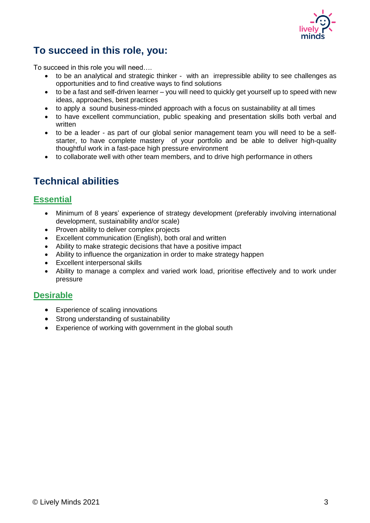

## **To succeed in this role, you:**

To succeed in this role you will need….

- to be an analytical and strategic thinker with an irrepressible ability to see challenges as opportunities and to find creative ways to find solutions
- to be a fast and self-driven learner you will need to quickly get yourself up to speed with new ideas, approaches, best practices
- to apply a sound business-minded approach with a focus on sustainability at all times
- to have excellent communciation, public speaking and presentation skills both verbal and written
- to be a leader as part of our global senior management team you will need to be a selfstarter, to have complete mastery of your portfolio and be able to deliver high-quality thoughtful work in a fast-pace high pressure environment
- to collaborate well with other team members, and to drive high performance in others

## **Technical abilities**

#### **Essential**

- Minimum of 8 years' experience of strategy development (preferably involving international development, sustainability and/or scale)
- Proven ability to deliver complex projects
- Excellent communication (English), both oral and written
- Ability to make strategic decisions that have a positive impact
- Ability to influence the organization in order to make strategy happen
- Excellent interpersonal skills
- Ability to manage a complex and varied work load, prioritise effectively and to work under pressure

#### **Desirable**

- Experience of scaling innovations
- Strong understanding of sustainability
- Experience of working with government in the global south